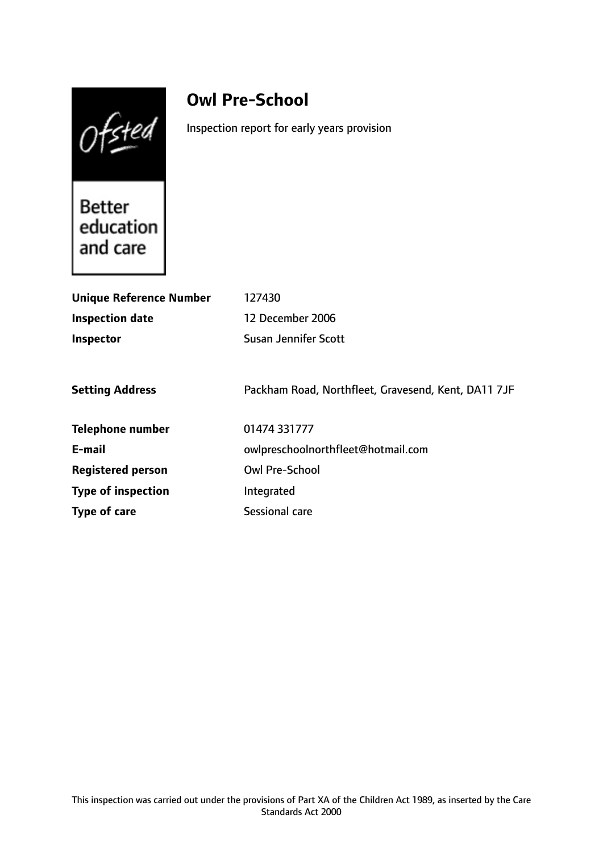$Of<sub>sted</sub>$ 

# **Owl Pre-School**

Inspection report for early years provision

Better Better<br>education and care

| <b>Unique Reference Number</b> | 127430                                              |
|--------------------------------|-----------------------------------------------------|
| <b>Inspection date</b>         | 12 December 2006                                    |
| <b>Inspector</b>               | Susan Jennifer Scott                                |
|                                |                                                     |
| <b>Setting Address</b>         | Packham Road, Northfleet, Gravesend, Kent, DA11 7JF |
| <b>Telephone number</b>        | 01474 331777                                        |
| E-mail                         | owlpreschoolnorthfleet@hotmail.com                  |
| <b>Registered person</b>       | <b>Owl Pre-School</b>                               |
| <b>Type of inspection</b>      | Integrated                                          |
| Type of care                   | Sessional care                                      |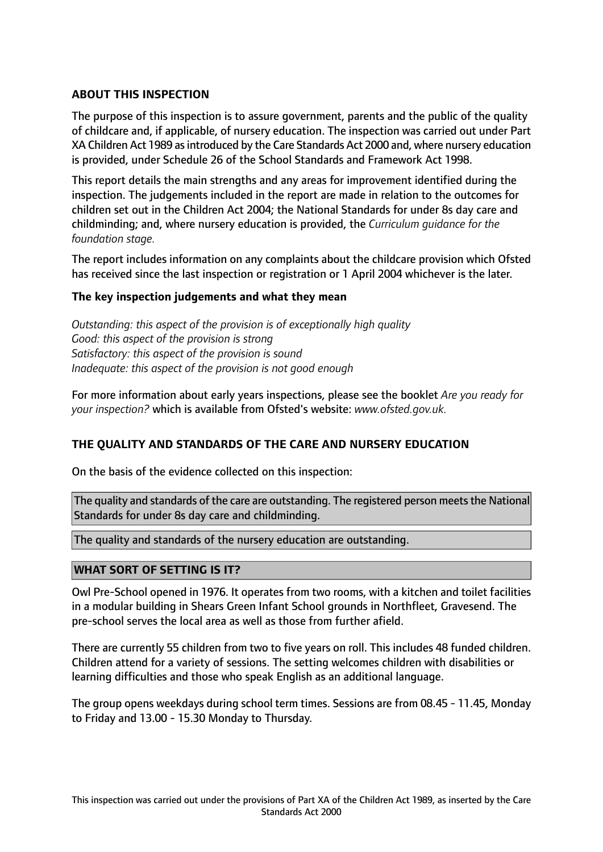# **ABOUT THIS INSPECTION**

The purpose of this inspection is to assure government, parents and the public of the quality of childcare and, if applicable, of nursery education. The inspection was carried out under Part XA Children Act 1989 asintroduced by the Care Standards Act 2000 and, where nursery education is provided, under Schedule 26 of the School Standards and Framework Act 1998.

This report details the main strengths and any areas for improvement identified during the inspection. The judgements included in the report are made in relation to the outcomes for children set out in the Children Act 2004; the National Standards for under 8s day care and childminding; and, where nursery education is provided, the *Curriculum guidance for the foundation stage.*

The report includes information on any complaints about the childcare provision which Ofsted has received since the last inspection or registration or 1 April 2004 whichever is the later.

### **The key inspection judgements and what they mean**

*Outstanding: this aspect of the provision is of exceptionally high quality Good: this aspect of the provision is strong Satisfactory: this aspect of the provision is sound Inadequate: this aspect of the provision is not good enough*

For more information about early years inspections, please see the booklet *Are you ready for your inspection?* which is available from Ofsted's website: *www.ofsted.gov.uk.*

### **THE QUALITY AND STANDARDS OF THE CARE AND NURSERY EDUCATION**

On the basis of the evidence collected on this inspection:

The quality and standards of the care are outstanding. The registered person meets the National Standards for under 8s day care and childminding.

The quality and standards of the nursery education are outstanding.

### **WHAT SORT OF SETTING IS IT?**

Owl Pre-School opened in 1976. It operates from two rooms, with a kitchen and toilet facilities in a modular building in Shears Green Infant School grounds in Northfleet, Gravesend. The pre-school serves the local area as well as those from further afield.

There are currently 55 children from two to five years on roll. This includes 48 funded children. Children attend for a variety of sessions. The setting welcomes children with disabilities or learning difficulties and those who speak English as an additional language.

The group opens weekdays during school term times. Sessions are from 08.45 - 11.45, Monday to Friday and 13.00 - 15.30 Monday to Thursday.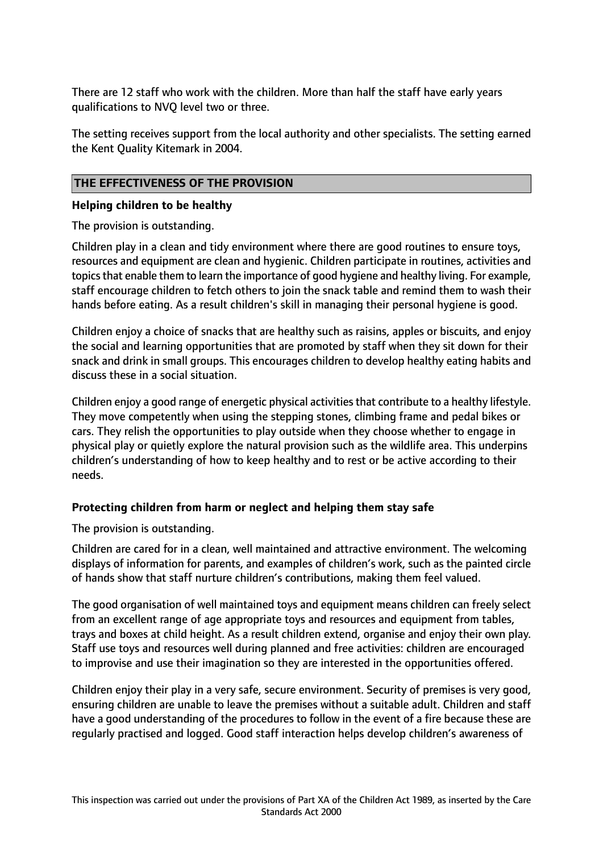There are 12 staff who work with the children. More than half the staff have early years qualifications to NVQ level two or three.

The setting receives support from the local authority and other specialists. The setting earned the Kent Quality Kitemark in 2004.

# **THE EFFECTIVENESS OF THE PROVISION**

#### **Helping children to be healthy**

The provision is outstanding.

Children play in a clean and tidy environment where there are good routines to ensure toys, resources and equipment are clean and hygienic. Children participate in routines, activities and topics that enable them to learn the importance of good hygiene and healthy living. For example, staff encourage children to fetch others to join the snack table and remind them to wash their hands before eating. As a result children's skill in managing their personal hygiene is good.

Children enjoy a choice of snacks that are healthy such as raisins, apples or biscuits, and enjoy the social and learning opportunities that are promoted by staff when they sit down for their snack and drink in small groups. This encourages children to develop healthy eating habits and discuss these in a social situation.

Children enjoy a good range of energetic physical activities that contribute to a healthy lifestyle. They move competently when using the stepping stones, climbing frame and pedal bikes or cars. They relish the opportunities to play outside when they choose whether to engage in physical play or quietly explore the natural provision such as the wildlife area. This underpins children's understanding of how to keep healthy and to rest or be active according to their needs.

### **Protecting children from harm or neglect and helping them stay safe**

The provision is outstanding.

Children are cared for in a clean, well maintained and attractive environment. The welcoming displays of information for parents, and examples of children's work, such as the painted circle of hands show that staff nurture children's contributions, making them feel valued.

The good organisation of well maintained toys and equipment means children can freely select from an excellent range of age appropriate toys and resources and equipment from tables, trays and boxes at child height. As a result children extend, organise and enjoy their own play. Staff use toys and resources well during planned and free activities: children are encouraged to improvise and use their imagination so they are interested in the opportunities offered.

Children enjoy their play in a very safe, secure environment. Security of premises is very good, ensuring children are unable to leave the premises without a suitable adult. Children and staff have a good understanding of the procedures to follow in the event of a fire because these are regularly practised and logged. Good staff interaction helps develop children's awareness of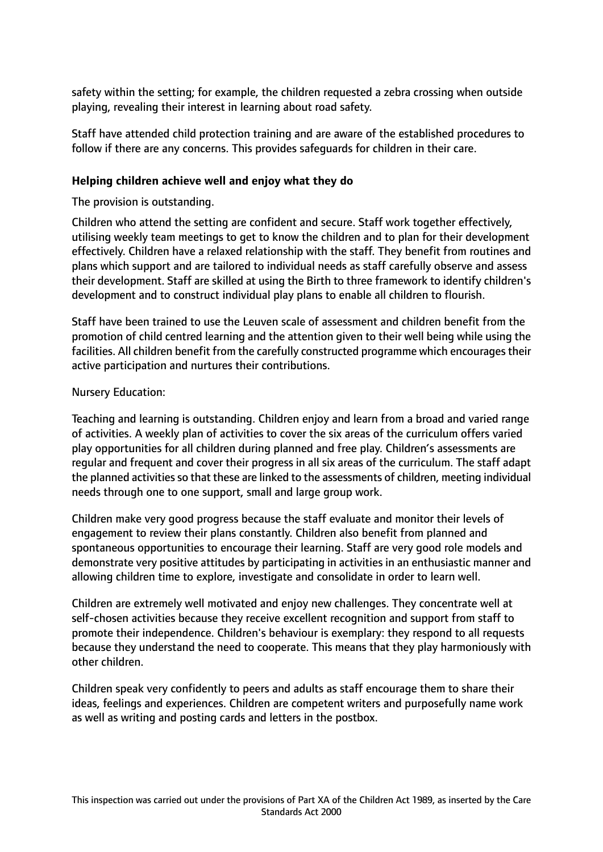safety within the setting; for example, the children requested a zebra crossing when outside playing, revealing their interest in learning about road safety.

Staff have attended child protection training and are aware of the established procedures to follow if there are any concerns. This provides safeguards for children in their care.

# **Helping children achieve well and enjoy what they do**

The provision is outstanding.

Children who attend the setting are confident and secure. Staff work together effectively, utilising weekly team meetings to get to know the children and to plan for their development effectively. Children have a relaxed relationship with the staff. They benefit from routines and plans which support and are tailored to individual needs as staff carefully observe and assess their development. Staff are skilled at using the Birth to three framework to identify children's development and to construct individual play plans to enable all children to flourish.

Staff have been trained to use the Leuven scale of assessment and children benefit from the promotion of child centred learning and the attention given to their well being while using the facilities. All children benefit from the carefully constructed programme which encourages their active participation and nurtures their contributions.

### Nursery Education:

Teaching and learning is outstanding. Children enjoy and learn from a broad and varied range of activities. A weekly plan of activities to cover the six areas of the curriculum offers varied play opportunities for all children during planned and free play. Children's assessments are regular and frequent and cover their progress in all six areas of the curriculum. The staff adapt the planned activities so that these are linked to the assessments of children, meeting individual needs through one to one support, small and large group work.

Children make very good progress because the staff evaluate and monitor their levels of engagement to review their plans constantly. Children also benefit from planned and spontaneous opportunities to encourage their learning. Staff are very good role models and demonstrate very positive attitudes by participating in activities in an enthusiastic manner and allowing children time to explore, investigate and consolidate in order to learn well.

Children are extremely well motivated and enjoy new challenges. They concentrate well at self-chosen activities because they receive excellent recognition and support from staff to promote their independence. Children's behaviour is exemplary: they respond to all requests because they understand the need to cooperate. This means that they play harmoniously with other children.

Children speak very confidently to peers and adults as staff encourage them to share their ideas, feelings and experiences. Children are competent writers and purposefully name work as well as writing and posting cards and letters in the postbox.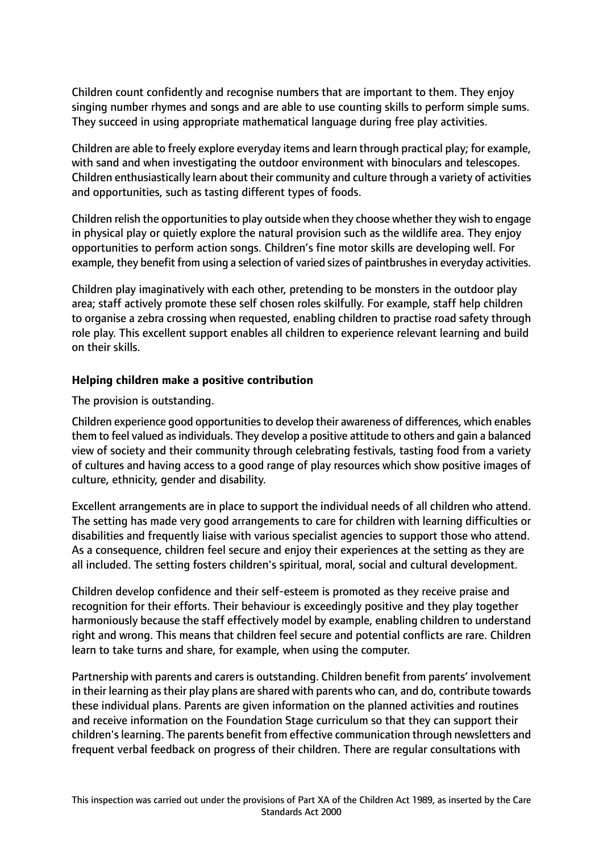Children count confidently and recognise numbers that are important to them. They enjoy singing number rhymes and songs and are able to use counting skills to perform simple sums. They succeed in using appropriate mathematical language during free play activities.

Children are able to freely explore everyday items and learn through practical play; for example, with sand and when investigating the outdoor environment with binoculars and telescopes. Children enthusiastically learn about their community and culture through a variety of activities and opportunities, such as tasting different types of foods.

Children relish the opportunities to play outside when they choose whether they wish to engage in physical play or quietly explore the natural provision such as the wildlife area. They enjoy opportunities to perform action songs. Children's fine motor skills are developing well. For example, they benefit from using a selection of varied sizes of paintbrushes in everyday activities.

Children play imaginatively with each other, pretending to be monsters in the outdoor play area; staff actively promote these self chosen roles skilfully. For example, staff help children to organise a zebra crossing when requested, enabling children to practise road safety through role play. This excellent support enables all children to experience relevant learning and build on their skills.

### **Helping children make a positive contribution**

The provision is outstanding.

Children experience good opportunitiesto develop their awareness of differences, which enables them to feel valued as individuals. They develop a positive attitude to others and gain a balanced view of society and their community through celebrating festivals, tasting food from a variety of cultures and having access to a good range of play resources which show positive images of culture, ethnicity, gender and disability.

Excellent arrangements are in place to support the individual needs of all children who attend. The setting has made very good arrangements to care for children with learning difficulties or disabilities and frequently liaise with various specialist agencies to support those who attend. As a consequence, children feel secure and enjoy their experiences at the setting as they are all included. The setting fosters children's spiritual, moral, social and cultural development.

Children develop confidence and their self-esteem is promoted as they receive praise and recognition for their efforts. Their behaviour is exceedingly positive and they play together harmoniously because the staff effectively model by example, enabling children to understand right and wrong. This means that children feel secure and potential conflicts are rare. Children learn to take turns and share, for example, when using the computer.

Partnership with parents and carers is outstanding. Children benefit from parents' involvement in their learning astheir play plans are shared with parents who can, and do, contribute towards these individual plans. Parents are given information on the planned activities and routines and receive information on the Foundation Stage curriculum so that they can support their children'slearning. The parents benefit from effective communication through newsletters and frequent verbal feedback on progress of their children. There are regular consultations with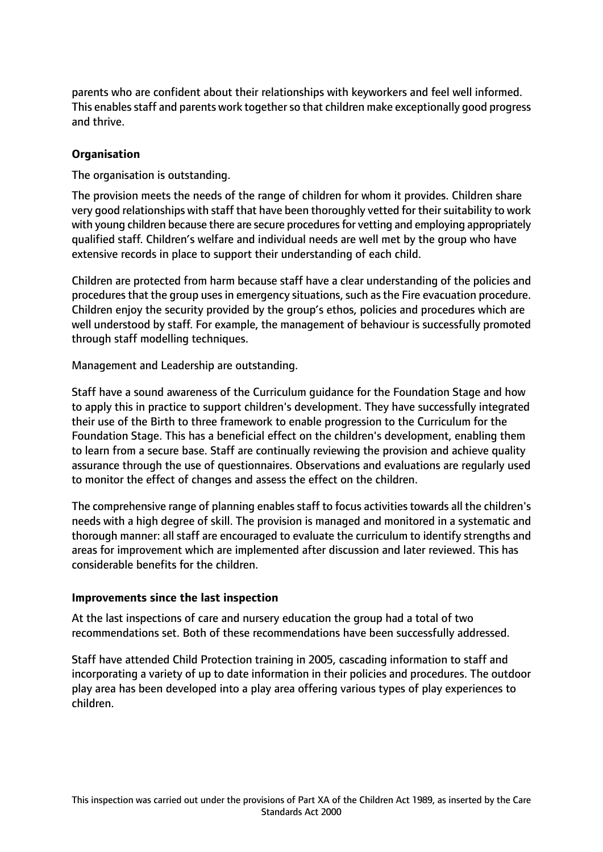parents who are confident about their relationships with keyworkers and feel well informed. This enables staff and parents work together so that children make exceptionally good progress and thrive.

# **Organisation**

The organisation is outstanding.

The provision meets the needs of the range of children for whom it provides. Children share very good relationships with staff that have been thoroughly vetted for their suitability to work with young children because there are secure procedures for vetting and employing appropriately qualified staff. Children's welfare and individual needs are well met by the group who have extensive records in place to support their understanding of each child.

Children are protected from harm because staff have a clear understanding of the policies and procedures that the group uses in emergency situations, such as the Fire evacuation procedure. Children enjoy the security provided by the group's ethos, policies and procedures which are well understood by staff. For example, the management of behaviour is successfully promoted through staff modelling techniques.

Management and Leadership are outstanding.

Staff have a sound awareness of the Curriculum guidance for the Foundation Stage and how to apply this in practice to support children's development. They have successfully integrated their use of the Birth to three framework to enable progression to the Curriculum for the Foundation Stage. This has a beneficial effect on the children's development, enabling them to learn from a secure base. Staff are continually reviewing the provision and achieve quality assurance through the use of questionnaires. Observations and evaluations are regularly used to monitor the effect of changes and assess the effect on the children.

The comprehensive range of planning enables staff to focus activities towards all the children's needs with a high degree of skill. The provision is managed and monitored in a systematic and thorough manner: all staff are encouraged to evaluate the curriculum to identify strengths and areas for improvement which are implemented after discussion and later reviewed. This has considerable benefits for the children.

### **Improvements since the last inspection**

At the last inspections of care and nursery education the group had a total of two recommendations set. Both of these recommendations have been successfully addressed.

Staff have attended Child Protection training in 2005, cascading information to staff and incorporating a variety of up to date information in their policies and procedures. The outdoor play area has been developed into a play area offering various types of play experiences to children.